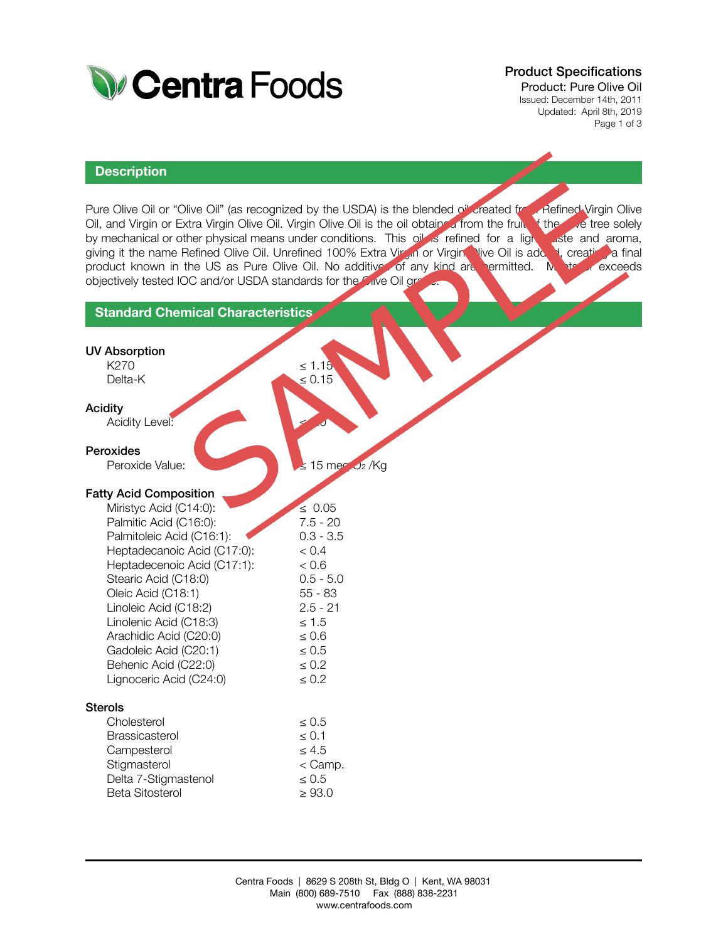

# Product Specifications

Product: Pure Olive Oil Issued: December 14th, 2011 Updated: April 8th, 2019 Page 1 of 3

#### **Description**

Pure Olive Oil or "Olive Oil" (as recognized by the USDA) is the blended oil created from Refined Virgin Olive Oil, and Virgin or Extra Virgin Olive Oil. Virgin Olive Oil is the oil obtain a from the fruit the solely by mechanical or other physical means under conditions. This oil is refined for a light aste and aroma, by mechanical or other physical means under conditions. This oil is refined for a light giving it the name Refined Olive Oil. Unrefined 100% Extra Virgin or Virgin Nive Oil is added, creating a final product known in the US as Pure Olive Oil. No additives of any kind are permitted. Me to or exceeds objectively tested IOC and/or USDA standards for the Clive Oil grade.

### **Standard Chemical Characteristics**

| <b>UV Absorption</b>          |                              |
|-------------------------------|------------------------------|
| K270                          | $\leq 1.15$                  |
| Delta-K                       | $\leq 0.15$                  |
| <b>Acidity</b>                |                              |
| Acidity Level:                |                              |
| Peroxides                     |                              |
| Peroxide Value:               | $\leq$ 15 mea $\sqrt{2}$ /Kg |
|                               |                              |
| <b>Fatty Acid Composition</b> |                              |
| Miristyc Acid (C14:0):        | $\leq 0.05$                  |
| Palmitic Acid (C16:0):        | $7.5 - 20$                   |
| Palmitoleic Acid (C16:1):     | $0.3 - 3.5$                  |
| Heptadecanoic Acid (C17:0):   | < 0.4                        |
| Heptadecenoic Acid (C17:1):   | < 0.6                        |
| Stearic Acid (C18:0)          | $0.5 - 5.0$                  |
| Oleic Acid (C18:1)            | $55 - 83$                    |
| Linoleic Acid (C18:2)         | $2.5 - 21$                   |
| Linolenic Acid (C18:3)        | $\leq 1.5$                   |
| Arachidic Acid (C20:0)        | $\leq 0.6$                   |
| Gadoleic Acid (C20:1)         | $\leq 0.5$                   |
| Behenic Acid (C22:0)          | $\leq 0.2$                   |
| Lignoceric Acid (C24:0)       | $\leq 0.2$                   |
| <b>Sterols</b>                |                              |
| Cholesterol                   | $\leq 0.5$                   |
| <b>Brassicasterol</b>         | $\leq 0.1$                   |
| Campesterol                   | $\leq 4.5$                   |
| Stigmasterol                  | $<$ Camp.                    |
| Delta 7-Stigmastenol          | $\leq 0.5$                   |
| <b>Beta Sitosterol</b>        | $\geq 93.0$                  |
|                               |                              |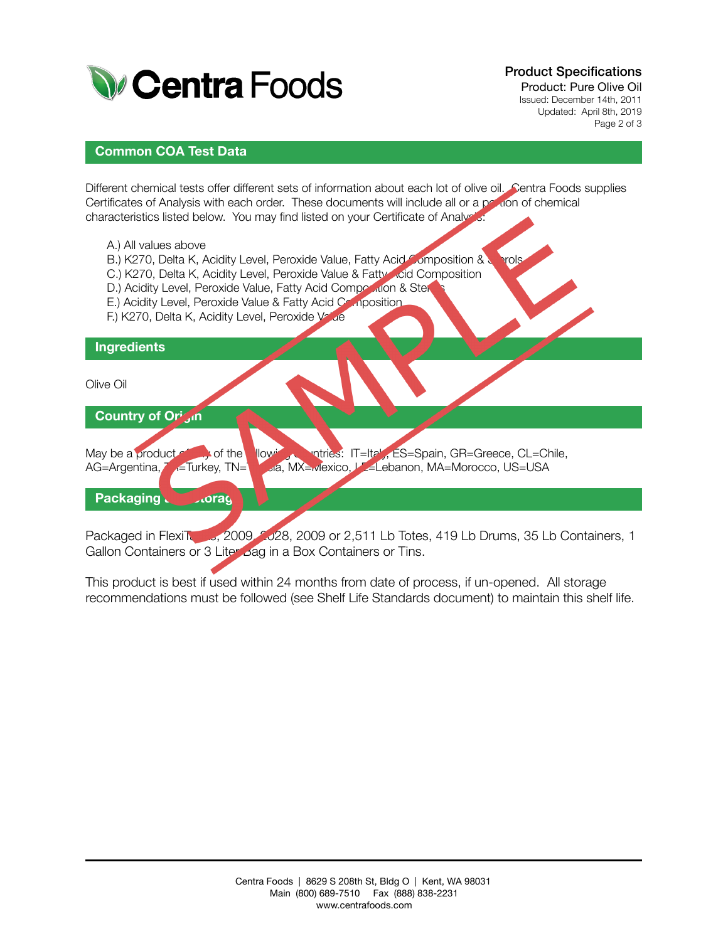

Product Specifications

Product: Pure Olive Oil Issued: December 14th, 2011 Updated: April 8th, 2019 Page 2 of 3

## **Common COA Test Data**

Different chemical tests offer different sets of information about each lot of olive oil. Centra Foods supplies Certificates of Analysis with each order. These documents will include all or a poution of chemical characteristics listed below. You may find listed on your Certificate of Analysis:

- A.) All values above
- B.) K270, Delta K, Acidity Level, Peroxide Value, Fatty Acid Composition & Sterols
- C.) K270, Delta K, Acidity Level, Peroxide Value & Fatty Acid Composition
- D.) Acidity Level, Peroxide Value, Fatty Acid Composition & Ster
- E.) Acidity Level, Peroxide Value & Fatty Acid Composition
- F.) K270, Delta K, Acidity Level, Peroxide Value

#### **Ingredients**

Olive Oil

# **Country of Origin**

May be a product of  $\blacksquare$  of the following countries: IT=Italy, ES=Spain, GR=Greece, CL=Chile, AG=Argentina, Transformation, MX=Mexico, LE=Lebanon, MA=Morocco, US=USA

## **Packaging Corage**

Packaged in FlexiTanks, 2009, 2028, 2009 or 2,511 Lb Totes, 419 Lb Drums, 35 Lb Containers, 1 Gallon Containers or 3 Liter Bag in a Box Containers or Tins.

This product is best if used within 24 months from date of process, if un-opened. All storage recommendations must be followed (see Shelf Life Standards document) to maintain this shelf life.